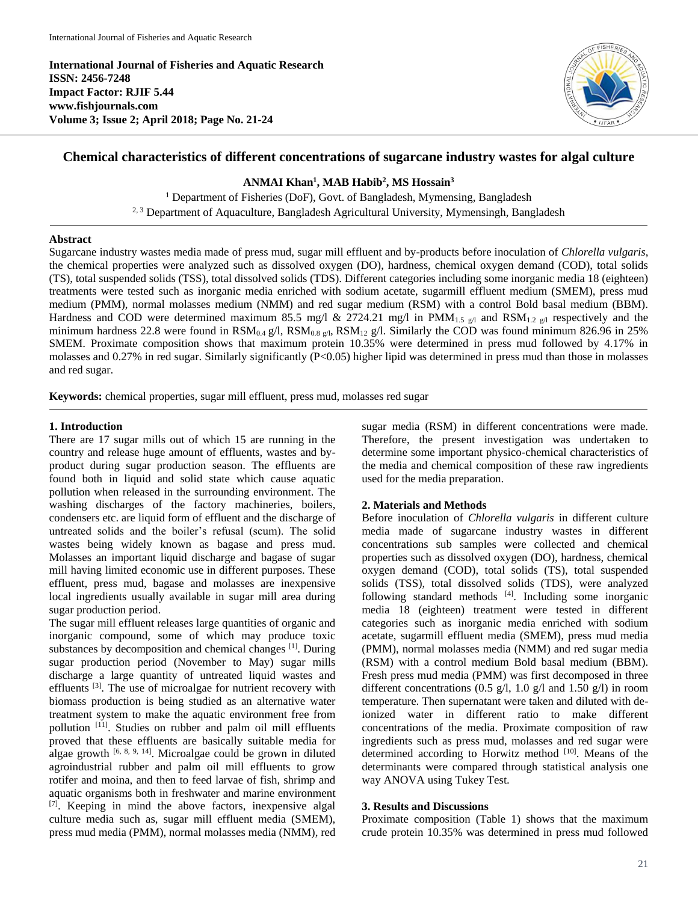**International Journal of Fisheries and Aquatic Research ISSN: 2456-7248 Impact Factor: RJIF 5.44 www.fishjournals.com Volume 3; Issue 2; April 2018; Page No. 21-24**



# **Chemical characteristics of different concentrations of sugarcane industry wastes for algal culture**

**ANMAI Khan<sup>1</sup> , MAB Habib<sup>2</sup> , MS Hossain<sup>3</sup>**

<sup>1</sup> Department of Fisheries (DoF), Govt. of Bangladesh, Mymensing, Bangladesh <sup>2, 3</sup> Department of Aquaculture, Bangladesh Agricultural University, Mymensingh, Bangladesh

#### **Abstract**

Sugarcane industry wastes media made of press mud, sugar mill effluent and by-products before inoculation of *Chlorella vulgaris*, the chemical properties were analyzed such as dissolved oxygen (DO), hardness, chemical oxygen demand (COD), total solids (TS), total suspended solids (TSS), total dissolved solids (TDS). Different categories including some inorganic media 18 (eighteen) treatments were tested such as inorganic media enriched with sodium acetate, sugarmill effluent medium (SMEM), press mud medium (PMM), normal molasses medium (NMM) and red sugar medium (RSM) with a control Bold basal medium (BBM). Hardness and COD were determined maximum 85.5 mg/l & 2724.21 mg/l in PMM<sub>1.5 g/l</sub> and RSM<sub>1.2 g/l</sub> respectively and the minimum hardness 22.8 were found in  $RSM_{0.4}$  g/l,  $RSM_{0.8}$  g/l,  $RSM_{12}$  g/l. Similarly the COD was found minimum 826.96 in 25% SMEM. Proximate composition shows that maximum protein 10.35% were determined in press mud followed by 4.17% in molasses and 0.27% in red sugar. Similarly significantly (P<0.05) higher lipid was determined in press mud than those in molasses and red sugar.

**Keywords:** chemical properties, sugar mill effluent, press mud, molasses red sugar

## **1. Introduction**

There are 17 sugar mills out of which 15 are running in the country and release huge amount of effluents, wastes and byproduct during sugar production season. The effluents are found both in liquid and solid state which cause aquatic pollution when released in the surrounding environment. The washing discharges of the factory machineries, boilers, condensers etc. are liquid form of effluent and the discharge of untreated solids and the boiler's refusal (scum). The solid wastes being widely known as bagase and press mud. Molasses an important liquid discharge and bagase of sugar mill having limited economic use in different purposes. These effluent, press mud, bagase and molasses are inexpensive local ingredients usually available in sugar mill area during sugar production period.

The sugar mill effluent releases large quantities of organic and inorganic compound, some of which may produce toxic substances by decomposition and chemical changes [1]. During sugar production period (November to May) sugar mills discharge a large quantity of untreated liquid wastes and effluents<sup>[3]</sup>. The use of microalgae for nutrient recovery with biomass production is being studied as an alternative water treatment system to make the aquatic environment free from pollution<sup>[11]</sup>. Studies on rubber and palm oil mill effluents proved that these effluents are basically suitable media for algae growth  $[6, 8, 9, 14]$ . Microalgae could be grown in diluted agroindustrial rubber and palm oil mill effluents to grow rotifer and moina, and then to feed larvae of fish, shrimp and aquatic organisms both in freshwater and marine environment [7]. Keeping in mind the above factors, inexpensive algal culture media such as, sugar mill effluent media (SMEM), press mud media (PMM), normal molasses media (NMM), red sugar media (RSM) in different concentrations were made. Therefore, the present investigation was undertaken to determine some important physico-chemical characteristics of the media and chemical composition of these raw ingredients used for the media preparation.

## **2. Materials and Methods**

Before inoculation of *Chlorella vulgaris* in different culture media made of sugarcane industry wastes in different concentrations sub samples were collected and chemical properties such as dissolved oxygen (DO), hardness, chemical oxygen demand (COD), total solids (TS), total suspended solids (TSS), total dissolved solids (TDS), were analyzed following standard methods [4]. Including some inorganic media 18 (eighteen) treatment were tested in different categories such as inorganic media enriched with sodium acetate, sugarmill effluent media (SMEM), press mud media (PMM), normal molasses media (NMM) and red sugar media (RSM) with a control medium Bold basal medium (BBM). Fresh press mud media (PMM) was first decomposed in three different concentrations  $(0.5 \text{ g}/l, 1.0 \text{ g}/l \text{ and } 1.50 \text{ g}/l)$  in room temperature. Then supernatant were taken and diluted with deionized water in different ratio to make different concentrations of the media. Proximate composition of raw ingredients such as press mud, molasses and red sugar were determined according to Horwitz method [10]. Means of the determinants were compared through statistical analysis one way ANOVA using Tukey Test.

## **3. Results and Discussions**

Proximate composition (Table 1) shows that the maximum crude protein 10.35% was determined in press mud followed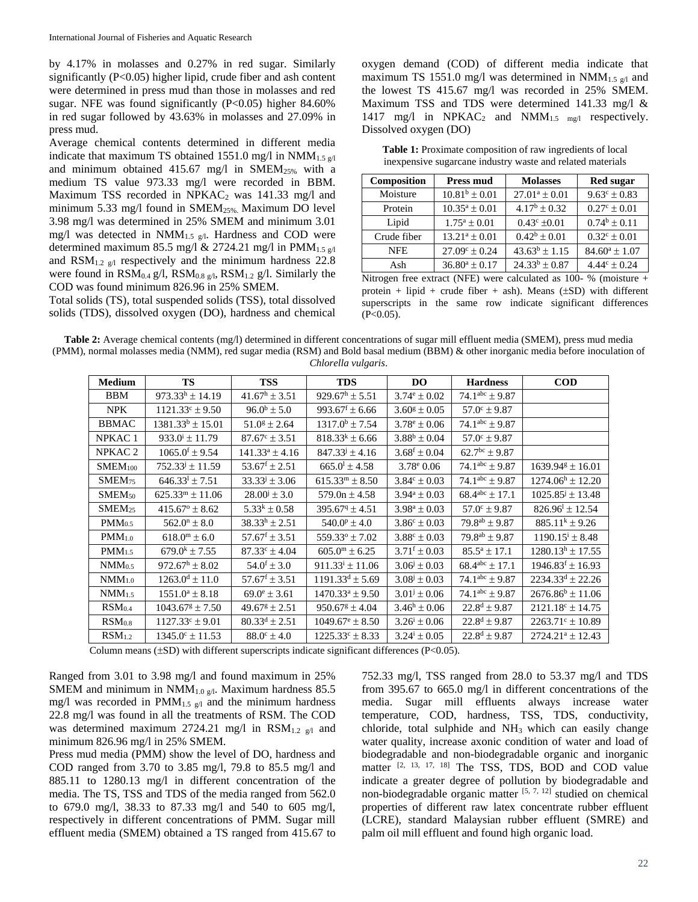by 4.17% in molasses and 0.27% in red sugar. Similarly significantly (P<0.05) higher lipid, crude fiber and ash content were determined in press mud than those in molasses and red sugar. NFE was found significantly (P<0.05) higher 84.60% in red sugar followed by 43.63% in molasses and 27.09% in press mud.

Average chemical contents determined in different media indicate that maximum TS obtained 1551.0 mg/l in  $NMM_{1.5\,g/l}$ and minimum obtained 415.67 mg/l in  $SMEM<sub>25%</sub>$  with a medium TS value 973.33 mg/l were recorded in BBM. Maximum TSS recorded in  $NPKAC_2$  was 141.33 mg/l and minimum 5.33 mg/l found in SMEM25%. Maximum DO level 3.98 mg/l was determined in 25% SMEM and minimum 3.01 mg/l was detected in  $NMM_{1.5\ g/l}$ . Hardness and COD were determined maximum 85.5 mg/l & 2724.21 mg/l in PMM<sub>1.5 g/l</sub> and  $\text{RSM}_{1.2 \text{ g/l}}$  respectively and the minimum hardness 22.8 were found in  $\text{RSM}_{0.4}$  g/l,  $\text{RSM}_{0.8}$  g/l,  $\text{RSM}_{1.2}$  g/l. Similarly the COD was found minimum 826.96 in 25% SMEM.

Total solids (TS), total suspended solids (TSS), total dissolved solids (TDS), dissolved oxygen (DO), hardness and chemical

oxygen demand (COD) of different media indicate that maximum TS 1551.0 mg/l was determined in NMM<sub>1.5 g/l</sub> and the lowest TS 415.67 mg/l was recorded in 25% SMEM. Maximum TSS and TDS were determined 141.33 mg/l & 1417 mg/l in NPKAC<sub>2</sub> and NMM<sub>1.5 mg/l</sub> respectively. Dissolved oxygen (DO)

**Table 1:** Proximate composition of raw ingredients of local inexpensive sugarcane industry waste and related materials

| Composition | <b>Press mud</b>         | <b>Molasses</b>         | <b>Red sugar</b>        |  |
|-------------|--------------------------|-------------------------|-------------------------|--|
| Moisture    | $10.81^b \pm 0.01$       | $27.01^a \pm 0.01$      | $9.63^{\circ} \pm 0.83$ |  |
| Protein     | $10.35^a \pm 0.01$       | $4.17^{\rm b} \pm 0.32$ | $0.27^{\circ} \pm 0.01$ |  |
| Lipid       | $1.75^a \pm 0.01$        | $0.43^{\circ}$ ±0.01    | $0.74^b \pm 0.11$       |  |
| Crude fiber | $13.21^a \pm 0.01$       | $0.42^b \pm 0.01$       | $0.32^{\circ} \pm 0.01$ |  |
| <b>NFE</b>  | $27.09^{\circ} \pm 0.24$ | $43.63^b \pm 1.15$      | $84.60^a \pm 1.07$      |  |
| Ash         | $36.80^a \pm 0.17$       | $24.33^b \pm 0.87$      | $4.44^{\circ} \pm 0.24$ |  |

Nitrogen free extract (NFE) were calculated as 100- % (moisture + protein + lipid + crude fiber + ash). Means  $(\pm SD)$  with different superscripts in the same row indicate significant differences  $(P<0.05)$ .

**Table 2:** Average chemical contents (mg/l) determined in different concentrations of sugar mill effluent media (SMEM), press mud media (PMM), normal molasses media (NMM), red sugar media (RSM) and Bold basal medium (BBM) & other inorganic media before inoculation of *Chlorella vulgaris*.

| <b>Medium</b>       | <b>TS</b>                         | <b>TSS</b>                  | <b>TDS</b>                    | <b>DO</b>               | <b>Hardness</b>         | <b>COD</b>                       |
|---------------------|-----------------------------------|-----------------------------|-------------------------------|-------------------------|-------------------------|----------------------------------|
| <b>BBM</b>          | $973.33^h \pm 14.19$              | $41.67^{\rm h} \pm 3.51$    | $929.67^{\rm h} \pm 5.51$     | $3.74^{\circ} \pm 0.02$ | $74.1^{abc} \pm 9.87$   |                                  |
| <b>NPK</b>          | $1121.33^{\circ} \pm 9.50$        | $96.0^{\rm b} \pm 5.0$      | $993.67$ <sup>f</sup> ± 6.66  | $3.60^{\rm g} \pm 0.05$ | $57.0^{\circ} \pm 9.87$ |                                  |
| <b>BBMAC</b>        | $1381.33^b \pm 15.01$             | $51.0$ <sup>g</sup> ± 2.64  | $1317.0^b \pm 7.54$           | $3.78^{\circ} \pm 0.06$ | $74.1^{abc} \pm 9.87$   |                                  |
| NPKAC <sub>1</sub>  | $933.0^{\mathrm{i}} \pm 11.79$    | $87.67^{\circ} \pm 3.51$    | $818.33^{k} \pm 6.66$         | $3.88^b \pm 0.04$       | $57.0^{\circ} \pm 9.87$ |                                  |
| NPKAC <sub>2</sub>  | $1065.0^{\rm f} \pm 9.54$         | $141.33^a \pm 4.16$         | $847.33^{j} \pm 4.16$         | $3.68^{\rm f} \pm 0.04$ | $62.7^{bc} \pm 9.87$    |                                  |
| SMEM <sub>100</sub> | $752.33^{j} \pm 11.59$            | $53.67^{\rm f} \pm 2.51$    | $665.0^{\text{l}} \pm 4.58$   | $3.78^{\circ}$ 0.06     | $74.1abc \pm 9.87$      | $1639.94$ <sup>g</sup> ± 16.01   |
| SMEM <sub>75</sub>  | $646.33^1 \pm 7.51$               | $33.33^{j} \pm 3.06$        | $615.33m \pm 8.50$            | $3.84^{\circ} \pm 0.03$ | $74.1^{abc} \pm 9.87$   | $1274.06^{\rm h} \pm 12.20$      |
| SMEM <sub>50</sub>  | $625.33m \pm 11.06$               | $28.00^{j} \pm 3.0$         | $579.0n \pm 4.58$             | $3.94^a \pm 0.03$       | $68.4^{abc} \pm 17.1$   | $1025.85^{\mathrm{j}} \pm 13.48$ |
| SMEM <sub>25</sub>  | $415.67^{\circ} \pm 8.62$         | $5.33^k \pm 0.58$           | $395.679 \pm 4.51$            | $3.98^a \pm 0.03$       | $57.0^{\circ} \pm 9.87$ | $826.96^{\text{1}} \pm 12.54$    |
| PMM <sub>0.5</sub>  | $562.0^{\circ} \pm 8.0$           | $38.33^h \pm 2.51$          | $540.0^{\rm p} \pm 4.0$       | $3.86^{\circ} \pm 0.03$ | $79.8^{ab} \pm 9.87$    | $885.11^k \pm 9.26$              |
| $PMM_{1.0}$         | $618.0^{\rm m} \pm 6.0$           | $57.67$ <sup>f</sup> ± 3.51 | $559.33^{\circ} \pm 7.02$     | $3.88^{\circ} \pm 0.03$ | $79.8^{ab} \pm 9.87$    | $1190.15^{\mathrm{i}} \pm 8.48$  |
| PMM <sub>1.5</sub>  | $679.0^k \pm 7.55$                | $87.33^{\circ} \pm 4.04$    | $605.0^{\rm m} \pm 6.25$      | $3.71^{\rm f} \pm 0.03$ | $85.5^a \pm 17.1$       | $1280.13^{\text{h}} \pm 17.55$   |
| $NMM_{0.5}$         | $972.67^{\rm h} \pm 8.02^{\rm s}$ | $54.0^{\rm f} \pm 3.0$      | $911.33^{\text{i}} \pm 11.06$ | $3.06^{j} \pm 0.03$     | $68.4^{abc} \pm 17.1$   | $1946.83$ <sup>f</sup> ± 16.93   |
| $NMM_{1,0}$         | $1263.0^{\rm d} \pm 11.0$         | $57.67^{\rm f} \pm 3.51$    | $1191.33^d \pm 5.69$          | $3.08^{j} \pm 0.03$     | $74.1^{abc} \pm 9.87$   | $2234.33^d \pm 22.26$            |
| $NMM_{1.5}$         | $1551.0^a \pm 8.18$               | $69.0^{\circ} \pm 3.61$     | $1470.33^a \pm 9.50$          | $3.01^{j} \pm 0.06$     | $74.1abc \pm 9.87$      | $2676.86^b \pm 11.06$            |
| RSM <sub>0.4</sub>  | $1043.67^{\text{g}} \pm 7.50$     | $49.67^{\rm g} \pm 2.51$    | $950.67$ <sup>g</sup> ± 4.04  | $3.46^{\rm h} \pm 0.06$ | $22.8^d \pm 9.87$       | $2121.18^c \pm 14.75$            |
| RSM <sub>0.8</sub>  | $1127.33^{\circ} \pm 9.01$        | $80.33^d \pm 2.51$          | $1049.67^{\circ} \pm 8.50$    | $3.26^i \pm 0.06$       | $22.8^d \pm 9.87$       | $2263.71^{\circ} \pm 10.89$      |
| RSM <sub>1.2</sub>  | $1345.0^{\circ} \pm 11.53$        | $88.0^{\circ} \pm 4.0$      | $1225.33^{\circ} \pm 8.33$    | $3.24^{i} \pm 0.05$     | $22.8^d \pm 9.87$       | $2724.21^a \pm 12.43$            |

Column means  $(\pm SD)$  with different superscripts indicate significant differences (P<0.05).

Ranged from 3.01 to 3.98 mg/l and found maximum in 25% SMEM and minimum in  $NMM_{1.0\ g/l}$ . Maximum hardness 85.5 mg/l was recorded in  $PMM_{1.5 g/l}$  and the minimum hardness 22.8 mg/l was found in all the treatments of RSM. The COD was determined maximum 2724.21 mg/l in  $\text{RSM}_{1.2}$  g/l and minimum 826.96 mg/l in 25% SMEM.

Press mud media (PMM) show the level of DO, hardness and COD ranged from 3.70 to 3.85 mg/l, 79.8 to 85.5 mg/l and 885.11 to 1280.13 mg/l in different concentration of the media. The TS, TSS and TDS of the media ranged from 562.0 to 679.0 mg/l, 38.33 to 87.33 mg/l and 540 to 605 mg/l, respectively in different concentrations of PMM. Sugar mill effluent media (SMEM) obtained a TS ranged from 415.67 to 752.33 mg/l, TSS ranged from 28.0 to 53.37 mg/l and TDS from 395.67 to 665.0 mg/l in different concentrations of the media. Sugar mill effluents always increase water temperature, COD, hardness, TSS, TDS, conductivity, chloride, total sulphide and  $NH<sub>3</sub>$  which can easily change water quality, increase axonic condition of water and load of biodegradable and non-biodegradable organic and inorganic matter <sup>[2, 13, 17, 18]</sup> The TSS, TDS, BOD and COD value indicate a greater degree of pollution by biodegradable and non-biodegradable organic matter  $[5, 7, 12]$  studied on chemical properties of different raw latex concentrate rubber effluent (LCRE), standard Malaysian rubber effluent (SMRE) and palm oil mill effluent and found high organic load.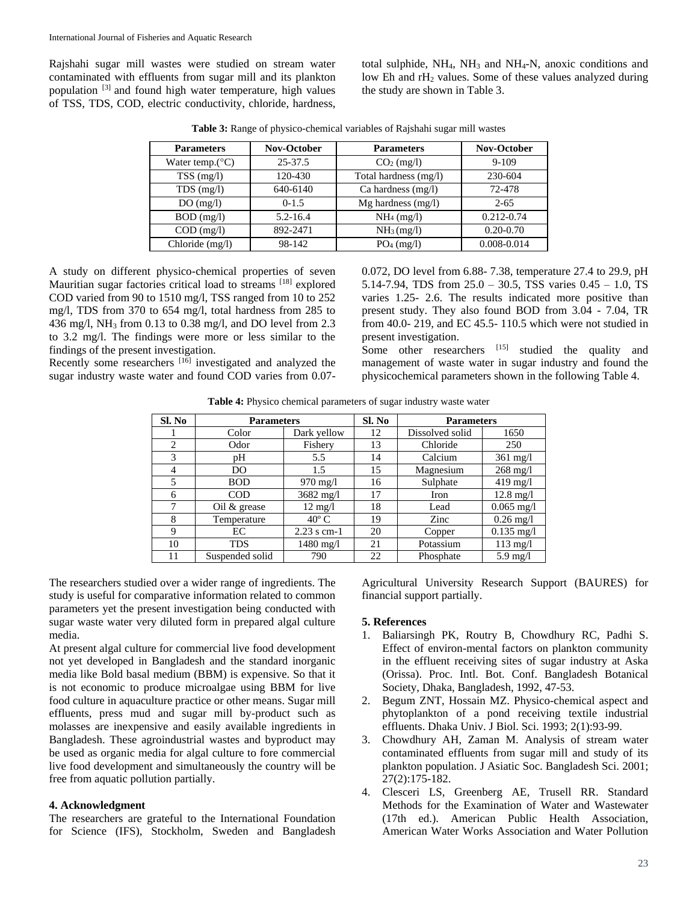Rajshahi sugar mill wastes were studied on stream water contaminated with effluents from sugar mill and its plankton population [3] and found high water temperature, high values of TSS, TDS, COD, electric conductivity, chloride, hardness,

total sulphide,  $NH_4$ ,  $NH_3$  and  $NH_4$ -N, anoxic conditions and low Eh and rH<sup>2</sup> values. Some of these values analyzed during the study are shown in Table 3.

| <b>Parameters</b>         | <b>Nov-October</b> | <b>Parameters</b>      | Nov-October    |  |
|---------------------------|--------------------|------------------------|----------------|--|
| Water temp. $(^{\circ}C)$ | 25-37.5            | $CO2$ (mg/l)           | $9 - 109$      |  |
| $TSS$ (mg/l)              | 120-430            | Total hardness (mg/l)  | 230-604        |  |
| $TDS$ (mg/l)              | 640-6140           | Ca hardness $(mg/l)$   | 72-478         |  |
| DO(mg/l)                  | $0-1.5$            | $Mg$ hardness (mg/l)   | $2 - 65$       |  |
| $BOD$ (mg/l)              | $5.2 - 16.4$       | $NH_4$ (mg/l)          | $0.212 - 0.74$ |  |
| $COD$ (mg/l)              | 892-2471           | NH <sub>3</sub> (mg/l) | $0.20 - 0.70$  |  |
| Chloride (mg/l)           | 98-142             | $PO4$ (mg/l)           | 0.008-0.014    |  |

**Table 3:** Range of physico-chemical variables of Rajshahi sugar mill wastes

A study on different physico-chemical properties of seven Mauritian sugar factories critical load to streams [18] explored COD varied from 90 to 1510 mg/l, TSS ranged from 10 to 252 mg/l, TDS from 370 to 654 mg/l, total hardness from 285 to 436 mg/l, NH<sup>3</sup> from 0.13 to 0.38 mg/l, and DO level from 2.3 to 3.2 mg/l. The findings were more or less similar to the findings of the present investigation.

Recently some researchers <sup>[16]</sup> investigated and analyzed the sugar industry waste water and found COD varies from 0.070.072, DO level from 6.88- 7.38, temperature 27.4 to 29.9, pH 5.14-7.94, TDS from 25.0 – 30.5, TSS varies 0.45 – 1.0, TS varies 1.25- 2.6. The results indicated more positive than present study. They also found BOD from 3.04 - 7.04, TR from 40.0- 219, and EC 45.5- 110.5 which were not studied in present investigation.

Some other researchers [15] studied the quality and management of waste water in sugar industry and found the physicochemical parameters shown in the following Table 4.

| <b>Table 4:</b> Physico chemical parameters of sugar industry waste water |  |  |  |
|---------------------------------------------------------------------------|--|--|--|
|                                                                           |  |  |  |

| Sl. No         | <b>Parameters</b> |                     | Sl. No | <b>Parameters</b> |                     |
|----------------|-------------------|---------------------|--------|-------------------|---------------------|
|                | Color             | Dark yellow         | 12     | Dissolved solid   | 1650                |
| 2              | Odor              | Fishery             | 13     | Chloride          | 250                 |
| 3              | pН                | 5.5                 | 14     | Calcium           | $361 \text{ mg/l}$  |
| $\overline{4}$ | DO                | 1.5                 | 15     | Magnesium         | $268$ mg/l          |
| 5              | <b>BOD</b>        | $970 \text{ mg}/1$  | 16     | Sulphate          | $419$ mg/l          |
| 6              | <b>COD</b>        | $3682 \text{ mg}/1$ | 17     | Iron              | $12.8 \text{ mg}/1$ |
| 7              | Oil $\&$ grease   | $12 \text{ mg}/1$   | 18     | Lead              | $0.065$ mg/l        |
| 8              | Temperature       | $40^{\circ}$ C      | 19     | Zinc              | $0.26$ mg/l         |
| 9              | EC                | $2.23$ s cm-1       | 20     | Copper            | $0.135$ mg/l        |
| 10             | <b>TDS</b>        | $1480$ mg/l         | 21     | Potassium         | $113 \text{ mg}/l$  |
| 11             | Suspended solid   | 790                 | 22     | Phosphate         | $5.9 \text{ mg}/l$  |

The researchers studied over a wider range of ingredients. The study is useful for comparative information related to common parameters yet the present investigation being conducted with sugar waste water very diluted form in prepared algal culture media.

At present algal culture for commercial live food development not yet developed in Bangladesh and the standard inorganic media like Bold basal medium (BBM) is expensive. So that it is not economic to produce microalgae using BBM for live food culture in aquaculture practice or other means. Sugar mill effluents, press mud and sugar mill by-product such as molasses are inexpensive and easily available ingredients in Bangladesh. These agroindustrial wastes and byproduct may be used as organic media for algal culture to fore commercial live food development and simultaneously the country will be free from aquatic pollution partially.

#### **4. Acknowledgment**

The researchers are grateful to the International Foundation for Science (IFS), Stockholm, Sweden and Bangladesh

Agricultural University Research Support (BAURES) for financial support partially.

#### **5. References**

- 1. Baliarsingh PK, Routry B, Chowdhury RC, Padhi S. Effect of environ-mental factors on plankton community in the effluent receiving sites of sugar industry at Aska (Orissa). Proc. Intl. Bot. Conf. Bangladesh Botanical Society, Dhaka, Bangladesh, 1992, 47-53.
- 2. Begum ZNT, Hossain MZ. Physico-chemical aspect and phytoplankton of a pond receiving textile industrial effluents. Dhaka Univ. J Biol. Sci. 1993; 2(1):93-99.
- 3. Chowdhury AH, Zaman M. Analysis of stream water contaminated effluents from sugar mill and study of its plankton population. J Asiatic Soc. Bangladesh Sci. 2001; 27(2):175-182.
- 4. Clesceri LS, Greenberg AE, Trusell RR. Standard Methods for the Examination of Water and Wastewater (17th ed.). American Public Health Association, American Water Works Association and Water Pollution